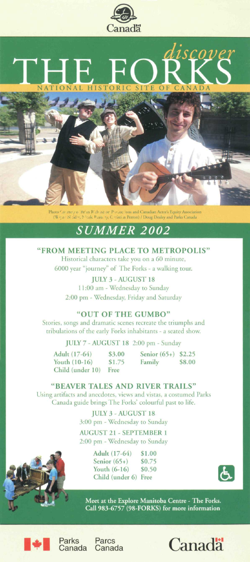

# **NATIONAL HISTORIC SITE OF CANADA** THE FORKS

Photo Co<sup>r</sup>ittery of Br<sup>i</sup>in Rich itd or Provinc fons and Canadian Actor's Equity Association (Wigin: Nicklet, Nicole Peau, 155 Coristi in Perron) / Doug Dealey and Parks Canada

### *SUMMER 2002*

### **FRO M MEETIN G PLAC E T O METROPOLIS "**

Historical characters take you on a 60 minute, 6000 year "journey" of The Forks - a walking tour.

**JULY 3-AUGUST 18 11**:00 am - Wednesday to Sunday 2:00 pm - Wednesday, Friday and Saturday

### **"OU T O F TH E GUMBO "**

Stories, songs and dramatic scenes recreate the triumphs and tribulations of the early Forks inhabitants - a seated show.

**JULY** 7 - **AUGUST 18** 2:00 pm - Sunday

**Adult (17-64) \$3.00 Youth (10-16) \$1.75 Child (under 10) Free** 

**Senior (65+) \$2.25 Family** 

**"BEAVER TALES AND RIVER TRAILS"** 

Using artifacts and anecdotes, views and vistas, a costumed Parks Canada guide brings The Forks' colourful past to life.

> **JULY 3-AUGUST 18**  3:00 pm - Wednesday to Sunday

> **AUGUST 21 - SEPTEMBER 1**  2:00 pm - Wednesday to Sunday

> > **Adult (17-64) \$1.00**  Senior (65+) \$0.75 **Youth (6-16) \$0.50 Child (under 6) Free**



**Meet at the Explore Manitoba Centre - The Forks. Call 983-6757 (98-FORKS) for more information** 





Parks<br>Canada